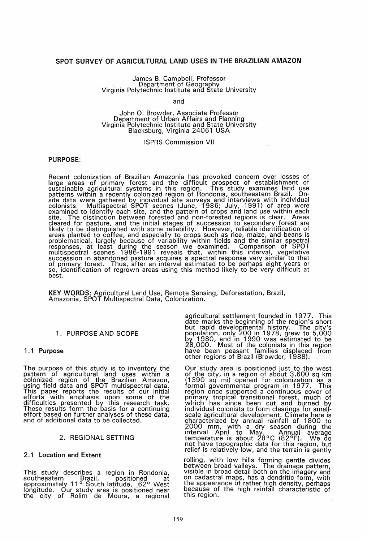## SPOT SURVEY OF AGRICULTURAL LAND USES IN THE BRAZILIAN AMAZON

## James B. Campbell, Professor Department of Geography<br>Virginia Polytechnic Institute and State University

#### and

## John O. Browder, Associate Professor Department of Urban Affairs and Planning Virginia Polytechnic Institute and State University Blacksburg, Virginia 24061 USA

#### ISPRS Commission VII

#### PURPOSE:

Recent colonization of Brazilian Amazonia has provoked concern over losses of large areas of primary forest and the difficult prospect of establishment of sustainable agricultural systems in this region. This study examines land use patterns within a recently colonized region of Rondonia, southeastern Brazil. Onsite data were gathered by individual site surveys and interviews with individual colonists. Multispectral SPOT scenes (June, 1986; July, 1991) of area were examined to identify each site, and the pattern of crops and land use within each site. The distinction between forested and non-forested regions is clear. Areas cleared for pasture, and the initial stages of succession to secondary forest are likely to be distinguished with some refiability. However, reliable identification of areas planted to coffee, and especially to crops such as rice, maize, and beans is problematical, largely because of variability within fields and the similar spectral responses, at least during the season we examined. Comparison of SPOT multispectral scenes 1986-1991 reveals that, within this interval, vegetative<br>succession in abandoned pasture acquires a spectral response very similar to that of primary forest. Thus, after an interval estimated to be perhaps eight years or so, identification of regrown areas using this method likely to be very difficult at best.

KEY WORDS: Agricultural Land Use, Remote Sensing, Deforestation, Brazil, Amazonia, SPOT Multispectral Data, Colonization.

## 1. PURPOSE AND SCOPE

#### 1.1 Purpose

The purpose of this study is to inventory the pattern of agricultural land uses within a colonized region of the Brazilian Amazon, using field data and SPOT multispectral data. This paper reports the results of our initial efforts with emphasis upon some of the difficulties presented by this research task. These results form the basis for a continuing<br>effort based on further analyses of these data, and of additional data to be collected.

#### 2. REGIONAL SETTING

#### 2.1 Location and Extent

This study describes a region in Rondonia, southeastern Brazil, positioned at approximately 11° South latitude, 62° West longitude. Our study area is positioned near the city of Rolim de Moura, a regional

agricultural settlement founded in 1977. This date marks the beginning of the region's short but rapid developmental history. The city's<br>population, only 200 in 1978, grew to 5,000 by 1980, and in 1990 was estimated to be 28,000. Most of the colonists in this region have been peasant families displaced from have been peasant families displaced from<br>other regions of Brazil (Browder, 1988).

Our study area is positioned just to the west of the city, in a region of about 3,600 sq km (1390 sq mi) opened for colonization as a formal governmental program in 1977. This region once supported a continuous cover of primary tropical transitional forest, much of which has since been cut and burned by<br>individual colonists to form clearings for smallscale agricultural development. Climate here is characterized by annual rainfall of 1800 to 2000 mm, with a dry season during the interval April to May. Annual average temperature is about 28°C (82°F). We do not have topographic data for this region, but relief is relatively low, and the terrain is gently

rolling, with low hills forming gentle divides between broad valleys. The drainage pattern,<br>visible in broad detail both on the imagery and on cadastral maps, has a dendritic form, with the appearance of rather high density, perhaps because of the high rainfall characteristic of this region.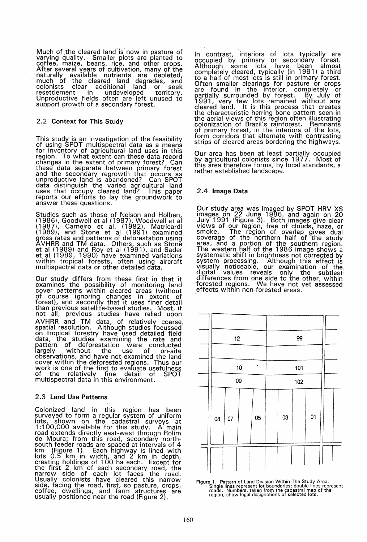Much of the cleared land is' now in pasture of varying quality. Smaller plots are planted to coffee, maize, beans, rice, and other crops.<br>After several years of cultivation, many of the naturally available nutrients are depleted, much of the cleared land degrades, and colonists clear additional land or seek colonists clear additional land or seek<br>resettlement in undeveloped territory.<br>Unproductive fields often are left unused to support growth of a secondary forest.

## 2.2 Context for This Study

This study is an investigation of the feasibility<br>of using SPOT multispectral data as a means for inventory of agricultural land uses in this region. To what extent can these data record changes in the extent of primary forest? Can these data separate between primary forest and the secondary regrowth that occurs as unproductive land is abandoned? Can SPOT data distinguish the varied agricultural land uses that occupy cleared land? This paper reports our efforts to lay the groundwork to answer these questions.

Studies such as those of Nelson and Holben, (1986), Goodwell et al (1987), Woodwell et al (1987), Carneiro et ai, (1982), Matricardi (1989), and Stone et al (1991) examined gross rates and patterns of deforestation using AVHRR and TM data. Others, such as Stone et al (1989) and Roy et al (1991), and Sader et al (1989, 1990) have examined variations within tropical forests, often using aircraft multispectral data or other detailed data.

Our study differs from these first in that it examines the possibility of monitoring land cover patterns within cleared areas (without<br>of course ignoring changes in extent of forest), and secondly that it uses finer detail than previous satellite-based studies. Most, if not all, previous studies have relied upon' AVHRR and TM data, of relatively coarse, spatial resolution. Although studies focussed on tropical forestry have used detailed field data, the studies examining the rate and pattern of deforestation were conducted largely without the use of on-site observations, and have not examined the land cover within the deforested regions. Thus our work is one of the first to evaluate usefulness of the relatively fine detail of SPOT multispectral data in this environment.

## 2.3 land Use Patterns

Colonized land in this region has been surveyed to form a regular system of uniform lots, shown on the cadastral surveys at 1 : 100,000 available for this study. A main road extends directly east-west through Rolim de Moura; from this road, secondary northsouth feeder roads are spaced at intervals of 4 km (Figure 1). Each highway is lined with lots 0.5 km in width, and 2 km in depth, creating holdings of 100 ha each. Except for the first 2 km of each secondary road, the narrow side of each lot faces the road. Usually colonists have cleared this narrow side, facing the road, first, so pasture, crops,<br>coffee, dwellings, and farm structures are usually positioned near the road (Figure 2).

In contrast, interiors of lots typically are occupied by primary or secondary forest. Although some lots have been almost completely cleared, typically (in 1991) a third to a half of most lots is still in primary forest. Often smaller clearings for pasture or crops are found in the Interior, completely or partially surrounded by forest. By July of 1991, very few lots remained without any cleared land. It is this process that creates the characteristic herring bone pattern seen in the aerial views of this region often illustrating colonization of Brazil's rainforest. Remnants of primary forest, in the interiors of the lots,<br>form corridors that alternate with contrasting strips of cleared areas bordering the highways.

Our area has been at least partially occupied by agricultural colonists since 1977. Most of this area therefore forms, by local standards, a rather established landscape.

## 2.4 Image Data

Our study area was imaged by SPOT HRV XS images on 22 June 1986, and again on 20 July 1991 (Figure 3). Both images give clear views of our region, free of clouds, haze, or smoke. The region of overlap gives dual coverage of the northern half of the study area, and a portion of the southern region. The western half of the 1986 image shows a systematic shift in brightness not corrected by system processing. Although this effect is Visually noticeable, our examination of the digital values reveals only the subtlest differences from one side to the other, within forested regions. We have not yet assessed effects within non-forested areas.



Figure 1. Pattern of Land Division Within The Study Area.<br>Single lines represent lot boundaries; double lines represent<br>roads. Numbers, taken from the cadastral map of the<br>region, show legal designations of selected lots.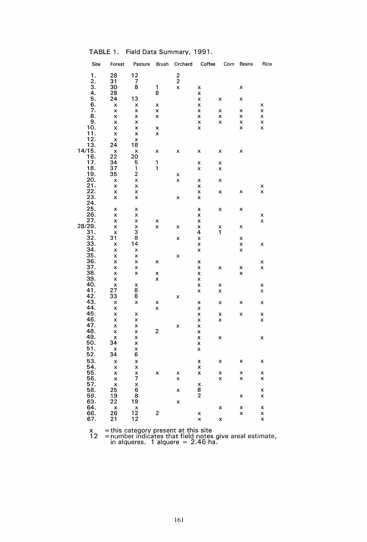| TABLE 1. |  |  |  |  | Field Data Summary, 1991. |  |
|----------|--|--|--|--|---------------------------|--|
|----------|--|--|--|--|---------------------------|--|

|                    | Site              | Forest                    | Pasture                   | Brush                   | Orchard                   | Coffee         | Corn | Beans | Rice         |
|--------------------|-------------------|---------------------------|---------------------------|-------------------------|---------------------------|----------------|------|-------|--------------|
|                    | 1.                | 28                        | 12                        |                         | $\frac{2}{2}$             |                |      |       |              |
|                    |                   | 31                        | 7                         |                         |                           |                |      |       |              |
|                    | $\frac{2}{3}$ .   | 30                        | 8                         | 1                       | $\overline{\mathsf{x}}$   | X              |      | X     |              |
|                    | 4.                | 28                        |                           | 8                       |                           | X              |      |       |              |
|                    | 5.                | 24                        | 13                        |                         |                           |                |      |       |              |
|                    |                   |                           |                           |                         |                           | X              | X    | X     |              |
|                    | 6.                | X                         | X                         | X                       |                           | X              |      |       | X            |
|                    | 7.                | X                         | X                         | X                       |                           | X              | X    | X     | X            |
|                    | 8.                | X                         | X                         | X                       |                           | X              | X    | X     | X            |
|                    | 9.                | X                         | X                         |                         |                           | X              | X    | X     | X            |
|                    | 10.               | X                         | X                         | X                       |                           | X              |      | X     | X            |
|                    | 11.               | X                         | X                         | X                       |                           |                |      |       |              |
|                    | $\frac{12}{13}$ . | X                         | X                         |                         |                           |                |      |       |              |
|                    |                   | 24                        | 18                        |                         |                           |                |      |       |              |
|                    |                   |                           | $\boldsymbol{\mathsf{x}}$ | x                       | X                         | x              | x    | X     |              |
| $\frac{14/15}{16}$ |                   | $\frac{1}{22}$            | 20                        |                         |                           |                |      |       |              |
|                    |                   | 34                        |                           |                         |                           |                |      |       |              |
|                    | 17.               |                           | 5                         | 1                       |                           | X              | X    |       |              |
|                    | 18.               | 37                        | 1                         | 1                       |                           | X              | X    |       |              |
|                    | 19.               | 35                        | $\overline{c}$            |                         | X                         |                |      |       |              |
|                    | 20.               | X                         | X                         |                         | $\boldsymbol{\mathsf{x}}$ | X              | x    |       |              |
|                    |                   | X                         | X                         |                         |                           | X              |      |       | X            |
|                    | $\frac{21}{22}$   | X                         | X                         |                         |                           | X              | X    | X     | $\mathsf{x}$ |
|                    | 23.               | $\pmb{\mathsf{x}}$        | X                         |                         | X                         | X              |      |       |              |
|                    | 24.               |                           |                           |                         |                           |                |      |       |              |
|                    | 25.               |                           |                           |                         |                           |                |      |       |              |
|                    | 26.               | X                         | x                         |                         |                           | X              | X    | X     |              |
|                    |                   | X                         | X                         |                         |                           | X              |      |       | X            |
| .27<br>.28/29      |                   | X                         | X                         | x                       |                           | X              |      |       | X            |
|                    |                   | X                         | X                         | X                       | x                         | X              | ×    | x     |              |
|                    | 31.               | X                         | 3                         |                         |                           | 4              | 1    |       |              |
|                    | 32.               | 31                        | 8                         |                         | X                         | X              |      | x     |              |
|                    | 33.               | X                         | 14                        |                         |                           | X              |      | X     | X            |
|                    | 34.               | $\boldsymbol{\mathsf{x}}$ | ×                         |                         |                           | X              |      | X     |              |
|                    | 35.               | X                         | X                         |                         | X                         |                |      |       |              |
|                    | 36.               | X                         | X                         | X                       |                           | X              |      |       |              |
|                    |                   |                           |                           |                         |                           |                |      |       | X            |
|                    | 37.               | X                         | X                         |                         |                           | X              | X    | X     | X            |
|                    | 38.               | X                         | X                         | X                       |                           | X              |      | X     |              |
|                    | 39.               | X                         |                           | X                       |                           | X              |      |       |              |
|                    | 40.               | X                         | X                         |                         |                           | X              | X    |       | X            |
|                    | 41.               | 27                        | 8                         |                         |                           | X              | X    |       | X            |
|                    | 42.               | 33                        | 8                         |                         | X                         |                |      |       |              |
|                    | 43.               | ×                         | X                         | X                       |                           | X              | X    | X     | X            |
|                    | 44.               | X                         |                           | X                       |                           | X              |      |       |              |
|                    | 45.               | X                         | X                         |                         |                           | X              | X    | X     | X            |
|                    | 46.               | X                         | X                         |                         |                           | X              | X    |       | X            |
|                    | 47.               | X                         |                           |                         |                           |                |      |       |              |
|                    | 48.               |                           | ×                         |                         | X                         | X              |      |       |              |
|                    |                   | X                         | ×                         | $\overline{\mathbf{c}}$ |                           | X              |      |       |              |
|                    | 49.               | X                         | X                         |                         |                           | X              | X    |       | X            |
|                    | 50.               | 34                        | X                         |                         |                           | X              |      |       |              |
|                    | 51.               | x                         | x                         |                         |                           | x              |      |       |              |
|                    | 52.               | 34                        | 6                         |                         |                           |                |      |       |              |
|                    | 53.               | X                         | X                         |                         |                           | X              | x    | X     | X            |
|                    | 54.               | X                         | X                         |                         |                           | X              |      |       |              |
|                    | 55.               | X                         | X                         | X                       | X                         | X              | X    | x     | X            |
|                    | 56.               | $\boldsymbol{\mathsf{x}}$ | 7                         |                         | X                         |                | X    | X     | X            |
|                    | 57.               |                           |                           |                         |                           |                |      |       |              |
|                    |                   | $\mathsf{x}$              | $\frac{x}{6}$             |                         |                           | X              |      |       |              |
|                    | 58.               | 25                        |                           |                         | X                         | 8              |      |       | X            |
|                    | 59.               | 19                        | $\frac{8}{19}$            |                         |                           | $\overline{2}$ |      | X     | X            |
|                    | 63.               | 22                        |                           |                         | X                         |                |      |       |              |
|                    | 64.               |                           |                           |                         |                           |                | X    | X     | X            |
|                    | 66.               | $\frac{x}{26}$            | $\frac{x}{12}$            | $\mathbf{2}$            |                           | X              |      | X     | X            |
|                    | 67.               | 21                        | 12                        |                         |                           | X              | X    |       | X            |
|                    |                   |                           |                           |                         |                           |                |      |       |              |

 $x =$  this category present at this site

12 = number indicates that field notes give areal estimate, in alqueres. 1 alquere = 2.46 ha.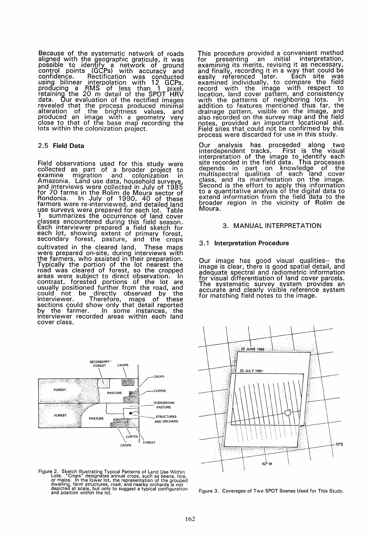Because of the systematic network of roads aligned with the geographic graticule, it was possible to identify a network of ground<br>control points (GCPs) with accuracy and confidence. Rectification was conducted using bilinear interpolation with 12 GCPs, producing a RMS of less than 1 pixel,<br>retaining the 20 m detail of the SPOT HRV<br>data. Our evaluation of the rectified images data. Our evaluation of the rectified images revealed that the process produced minimal alteration of the brightness values, and produced an image with a geometry very close to that of the base map recording the lots within the colonization project.

## 2.5 Field Data

Field observations used for this study were collected as part of a broader project to examine migration and colonization in Amazonia. Land use data, household surveys,<br>and interviews were collected in July of 1985 for 70 farms in the Rolim de Moura sector of Rondonia. In July of 1990, 40 of these farmers were re-interviewed, and detailed land use surveys were prepared for each lot. Table 1 summarizes the occurrence of land cover classes encountered during this field season. Each interviewer prepared a field sketch for each lot, showing extent of primary forest, secondary forest, pasture, and the crops cultivated in the cleared land. These maps were prepared on-site, during interviews with the farmers, who assisted in their preparation.<br>Typically the portion of the lot nearest the road was cleared of forest, so the cropped areas were subject to direct observation. In contrast, forested portions of the lot are. usually positioned further from the road, and could not be directly observed by the interviewer. Therefore, maps of these sections could show only that detail reported by the farmer. In some instances, the by the farmer. In some instances, the<br>interviewer recorded areas within each land cover class.



Figure 2. Sketch Illustrating Typical Patterns of Land Use Within<br>Lots. "Crops" designates annual crops, such as beans, rice,<br>or maize. In the lower lot, the representation of the grouped<br>dwelling, farm structures, road, a

This procedure provided a convenient method<br>for presenting an initial interpretation, for presenting an initial interpretation, examining its merits, revising it as necessary, examinally, recording it in a way that could be<br>easily referenced later. Each site was examined individually, to compare the field record with the image with respect to location, land cover pattern, and consistency<br>with the patterns of neighboring lots. In addition to features mentioned thus far, the drainage pattern, visible on the image, and also recorded on the survey map and the field notes, provided an important locational aid. Field sites that could not be confirmed by this process were discarded for use in this study.

Our analysis has proceeded along two interdependent tracks. First is the visual interpretation of the image to identify each site recorded in the field data. This processes<br>depends in part on knowledge of the multispectral qualities of each land cover class, and its manifestation on the image.<br>Second is the effort to apply this information to a quantitative analysis of the digital data to extend information from the field data to the broader region in the vicinity of Rolim de Moura.

#### 3. MANUAL INTERPRETATION

#### 3. 1 Interpretation Procedure

Our image has good visual qualities-- the image is clear, there is good spatial detail, and adequate spectral and radiometric information for visual differentiation of land cover parcels.<br>The systematic survey system provides an accurate and clearly visible reference system<br>for matching field notes to the image.



Figure 3. Coverages of Two SPOT Scenes Used for This Study.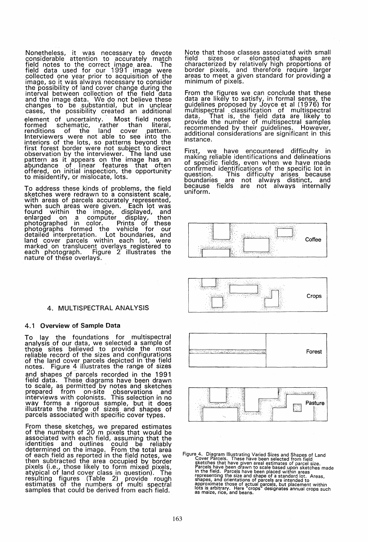Nonetheless, it was necessary to devote considerable attention to accurately match field notes to the correct image area. The field data used for our 1991 image were collected one year prior to acquisition of the image, so it was always necessary to consider the possibility of land cover change during the interval between collection of the field data and the image data. We do not believe these changes to be substantial, but in unclear cases, the possibility created an additional element of uncertainty. Most field notes<br>formed schematic, rather than literal, formed schematic, rather than literal,<br>renditions of the land cover pattern. Interviewers were not able to see into the interiors of the lots, so patterns beyond the first forest border were not subject to direct observation by the interviewer. The land use pattern as it appears on the image has an abundance of linear features that often offered, on initial inspection, the opportunity' to misidentify, or mislocate, lots.

To address these kinds of problems, the field sketches were redrawn to a consistent scale, with areas of parcels accurately represented, when such areas were given. Each lot was found within the image, displayed, and enlarged on a computer display, then photographed in color. Prints of these photographs formed the vehicle for our detailed interpretation. Lot boundaries, and land cover parcels within each lot, were marked on translucent overlays registered to each photograph. Figure 2 illustrates the nature of these overlays.

## 4. MULTISPECTRAL ANALYSIS

## 4.1 Overview of Sample Data

To lay the foundations for multispectral analysis of our data, we selected a sample of those sites believed to provide the most reliable record of the sizes and configurations<br>of the land cover parcels depicted in the field notes. Figure 4 illustrates the range of sizes and shapes of parcels recorded in the 1991 field data. These diagrams have been drawn to scale, as permitted by notes and sketches prepared from on-site observations and mterviews with colonists. This selection in no way forms a rigorous sample, but it does illustrate the range of sizes and shapes of parcels associated with specific cover types.

From these sketches, we prepared estimates of the numbers of 20 m pixels that would be associated with each field, assuming that the identities and outlines could be reliably<br>determined\_on\_the\_image. From\_the\_total\_area of each field as reported in the field notes, we then subtracted the area occupied by border pixels (I.e., those likely to form mixed pixels, atypical of land cover class in question). The resulting figures (Table 2) provide rough<br>estimates of the numbers of multi spectral samples that could be derived from each field.

Note that those classes associated with small field sizes or elongated shapes are characterized by relatively high proportions of border pixels, and therefore require larger areas to meet a given standard for providing a minimum of pixels.

From the figures we can conclude that these data are likely to satisfy, in formal sense, the guidelines proposed by Joyce et al (1976) for multispectral classification of multispectral<br>data. That is, the field data are likely to provide the number of multispectral samples recommended by their guidelines. However, additional considerations are significant in this Instance.

First, we have encountered difficulty in making reliable identifications and delineations of specific fields, even when we have made confirmed identifications of the specific lot in question. This difficulty arises because boundaries are not always distinct, and because fields are not always internally<br>uniform.









Figure 4. Diagram Illustrating Varied Sizes and Shapes of Land<br>Cover Parcels. These have been selected from field<br>sketches that have given areal estimates of parcel size.<br>Parcels have been drawn to scale based upon sketche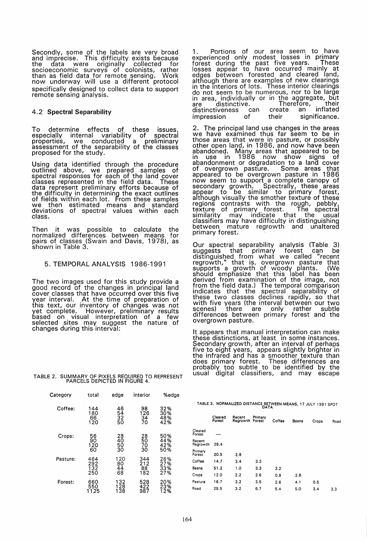Secondly, some of the labels are very broad and imprecise. This difficulty exists because' the data were originally collected for socioeconomic surveys of colonists, rather than as field data for remote sensing. Work now underway will use a different protocol specifically designed to collect data to support remote sensing analysis.

## 4.2 Spectral Separability

To determine effects of these issues especially internal variability of spectral<br>properties, we conducted a preliminary assessment of the separability of the classes proposed for the study.

Using data identified through the procedure<br>outlined above, we prepared samples of spectral responses for each of the land cover classes represented in the field data. These data represent preliminary efforts because of the difficulty in determining the exact outlines of fields within each lot. From these samples we then estimated means and standard deviations of spectral values within each class.

Then it was possible to calculate the normalized differences between means for pairs of classes (Swain and Davis, 1978), as shown in Table 3.

#### 5. TEMPORAL ANALYSIS 1986-1991

The two images used for this study provide a good record of the changes in principal land cover classes that have occurred over this five year interval. At the time of preparation of this text, our inventory of changes was not yet complete. However, preliminary results based on visual interpretation of a few selected sites may suggest the nature of changes during this interval:

1. Portions of our area seem to have experienced only modest losses in primary<br>forest during the past five years. These losses appear to have occurred mainly at edges between forested and cleared land, although there are examples of new clearings<br>in the interiors of lots. These interior clearings<br>do not seem to be numerous, nor to be large<br>in area, individually or in the aggregate, but are distinctive. Therefore, their distinctiveness can create an inflated impression of their significance.

2. The principal land use changes in the areas we have examined thus far seem to be in those areas that were in pasture, or possibly other open land, in 1986, and now have been abandoned. Many areas that appeared to be in use in 1986 now show signs of abandonment or degradation to a land cover of overgrown pasture. Some areas that appeared to be overgrown pasture in 1986 now seem to support a complete canopy of secondary growth. Spectrally, these areas appear to be similar to primary forest, although visually the smother texture of these regions contrasts with the rough, pebbly, texture of primary forest. The spectral<br>similarity may indicate that the usual classifiers may have difficulty in distinguishing<br>between mature regrowth and unaltered primary forest.

Our spectral separability analysis (Table 3) suggests that primary forest can be distinguished from what we called "recent regrowth," that is, overgrown pasture that supports a growth of woody plants. (We should emphasize that this label has been derived from examination of the image, not from the field data.) The temporal comparison<br>indicates that the spectral separability of these two classes declines rapidly, so that with five years (the interval between our two scenes) there are only rather subtle differences between primary forest and the overgrown pasture.

It appears that manual interpretation can make these distinctions, at least in some instances. Secondary growth, after an interval of perhaps<br>five to eight years, appears slightly brighter in the infrared and has a smoother texture than does primary forest. These differences are probably too subtle to be identified by the usual digital classifiers, and may escape

# TABLE 2. SUMMARY OF PIXELS REQUIRED TO REPRESENT PARCELS DEPICTED IN FIGURE 4.

Coffee: 144 46 98<br>180 54 126<br>66 32 34 34<br>120 50 70

Pasture: 464 120 344<br>292 80 212<br>132 44 88

Category total edge interior %edge

56 28 28 50% 90 40 50 44% Crops: 120 50 70 42% 60 30 30 50%

250 68 182 27%

Forest: 660 132 528 20%

180 54 126 30% 66 32 34 48% 120 50 70 42%

292 80 212 27% 132 44 88 33%

550 128 422 23% 1125 138 987 12%

|  |  | TABLE 3. NORMALIZED DISTANCE BETWEEN MEANS, 17 JULY 1991 SPOT<br><b>DATA</b> |  |  |  |  |  |
|--|--|------------------------------------------------------------------------------|--|--|--|--|--|
|--|--|------------------------------------------------------------------------------|--|--|--|--|--|

|                    | Cleared<br>Forest | Recent<br>Regrowth | Primary<br>Forest | Coffee | Beans | Crops | Road |
|--------------------|-------------------|--------------------|-------------------|--------|-------|-------|------|
| Cleared<br>Forest  | ----              |                    |                   |        |       |       |      |
| Recent<br>Regrowth | 29.4              |                    |                   |        |       |       |      |
| Primary<br>Forest  | 20.5              | 2.6                |                   |        |       |       |      |
| Coffee             | 14.7              | 3.4                | 3.3               |        |       |       |      |
| Beans              | 51.2              | 1.0                | 3.3               | 3.2    |       |       |      |
| Crops              | 12.0              | 2.2                | 2.6               | 0.8    | 2.6   |       |      |
| Pasture            | 16.7              | 3.2                | 3.5               | 2.6    | 4.1   | 0.5   |      |
| Road               | 29.5              | 3.2                | 6.7               | 5.4    | 5.0   | 3.4   | 3.3  |